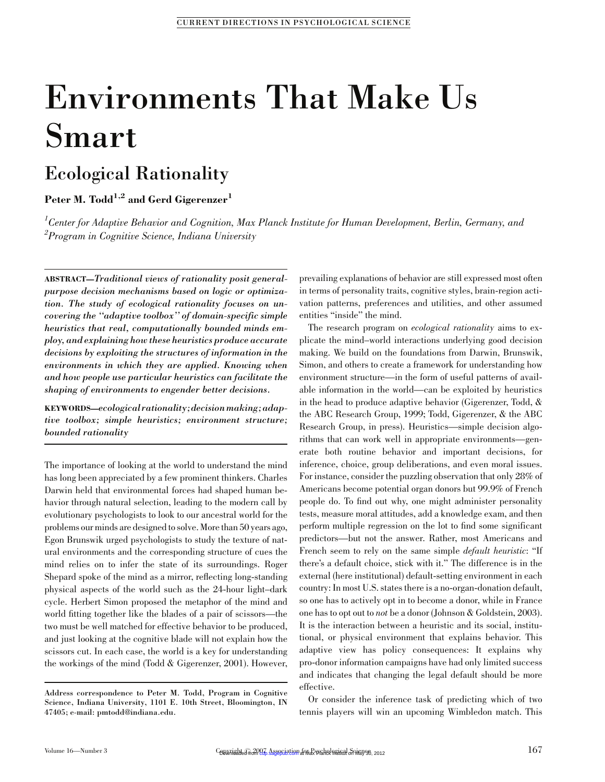# Environments That Make Us Smart

# Ecological Rationality

Peter M. Todd<sup>1,2</sup> and Gerd Gigerenzer<sup>1</sup>

 $^1$ Center for Adaptive Behavior and Cognition, Max Planck Institute for Human Development, Berlin, Germany, and  $\ ^{2}$ Program in Cognitive Science, Indiana University

ABSTRACT—Traditional views of rationality posit generalpurpose decision mechanisms based on logic or optimization. The study of ecological rationality focuses on uncovering the ''adaptive toolbox'' of domain-specific simple heuristics that real, computationally bounded minds employ, and explaining how these heuristics produce accurate decisions by exploiting the structures of information in the environments in which they are applied. Knowing when and how people use particular heuristics can facilitate the shaping of environments to engender better decisions.

KEYWORDS—ecological rationality;decision making; adaptive toolbox; simple heuristics; environment structure; bounded rationality

The importance of looking at the world to understand the mind has long been appreciated by a few prominent thinkers. Charles Darwin held that environmental forces had shaped human behavior through natural selection, leading to the modern call by evolutionary psychologists to look to our ancestral world for the problems our minds are designed to solve. More than 50 years ago, Egon Brunswik urged psychologists to study the texture of natural environments and the corresponding structure of cues the mind relies on to infer the state of its surroundings. Roger Shepard spoke of the mind as a mirror, reflecting long-standing physical aspects of the world such as the 24-hour light–dark cycle. Herbert Simon proposed the metaphor of the mind and world fitting together like the blades of a pair of scissors—the two must be well matched for effective behavior to be produced, and just looking at the cognitive blade will not explain how the scissors cut. In each case, the world is a key for understanding the workings of the mind (Todd & Gigerenzer, 2001). However, prevailing explanations of behavior are still expressed most often in terms of personality traits, cognitive styles, brain-region activation patterns, preferences and utilities, and other assumed entities "inside" the mind.

The research program on *ecological rationality* aims to explicate the mind–world interactions underlying good decision making. We build on the foundations from Darwin, Brunswik, Simon, and others to create a framework for understanding how environment structure—in the form of useful patterns of available information in the world—can be exploited by heuristics in the head to produce adaptive behavior (Gigerenzer, Todd, & the ABC Research Group, 1999; Todd, Gigerenzer, & the ABC Research Group, in press). Heuristics—simple decision algorithms that can work well in appropriate environments—generate both routine behavior and important decisions, for inference, choice, group deliberations, and even moral issues. For instance, consider the puzzling observation that only 28% of Americans become potential organ donors but 99.9% of French people do. To find out why, one might administer personality tests, measure moral attitudes, add a knowledge exam, and then perform multiple regression on the lot to find some significant predictors—but not the answer. Rather, most Americans and French seem to rely on the same simple *default heuristic*: "If there's a default choice, stick with it.'' The difference is in the external (here institutional) default-setting environment in each country: In most U.S. states there is a no-organ-donation default, so one has to actively opt in to become a donor, while in France one has to opt out to not be a donor (Johnson & Goldstein, 2003). It is the interaction between a heuristic and its social, institutional, or physical environment that explains behavior. This adaptive view has policy consequences: It explains why pro-donor information campaigns have had only limited success and indicates that changing the legal default should be more effective.

Or consider the inference task of predicting which of two tennis players will win an upcoming Wimbledon match. This

Address correspondence to Peter M. Todd, Program in Cognitive Science, Indiana University, 1101 E. 10th Street, Bloomington, IN 47405; e-mail: pmtodd@indiana.edu.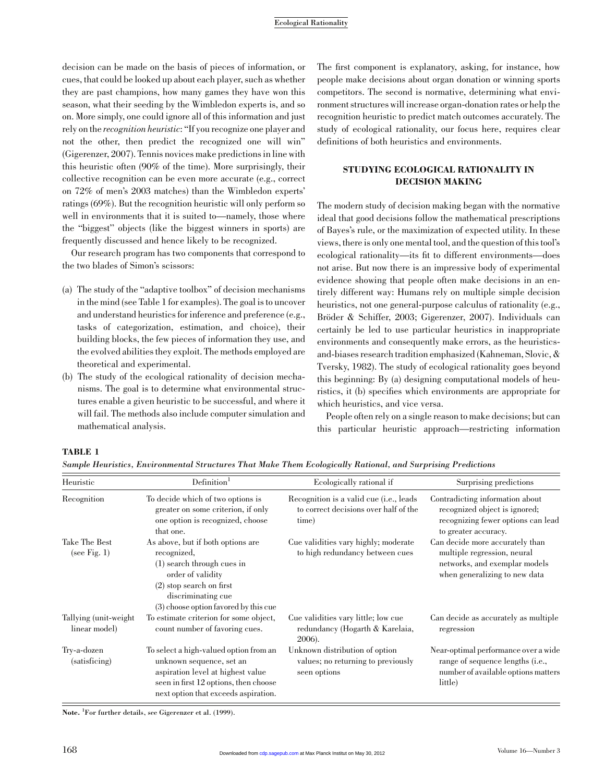decision can be made on the basis of pieces of information, or cues, that could be looked up about each player, such as whether they are past champions, how many games they have won this season, what their seeding by the Wimbledon experts is, and so on. More simply, one could ignore all of this information and just rely on the recognition heuristic: ''If you recognize one player and not the other, then predict the recognized one will win'' (Gigerenzer, 2007). Tennis novices make predictions in line with this heuristic often (90% of the time). More surprisingly, their collective recognition can be even more accurate (e.g., correct on 72% of men's 2003 matches) than the Wimbledon experts' ratings (69%). But the recognition heuristic will only perform so well in environments that it is suited to—namely, those where the ''biggest'' objects (like the biggest winners in sports) are frequently discussed and hence likely to be recognized.

Our research program has two components that correspond to the two blades of Simon's scissors:

- (a) The study of the ''adaptive toolbox'' of decision mechanisms in the mind (see Table 1 for examples). The goal is to uncover and understand heuristics for inference and preference (e.g., tasks of categorization, estimation, and choice), their building blocks, the few pieces of information they use, and the evolved abilities they exploit. The methods employed are theoretical and experimental.
- (b) The study of the ecological rationality of decision mechanisms. The goal is to determine what environmental structures enable a given heuristic to be successful, and where it will fail. The methods also include computer simulation and mathematical analysis.

The first component is explanatory, asking, for instance, how people make decisions about organ donation or winning sports competitors. The second is normative, determining what environment structures will increase organ-donation rates or help the recognition heuristic to predict match outcomes accurately. The study of ecological rationality, our focus here, requires clear definitions of both heuristics and environments.

# STUDYING ECOLOGICAL RATIONALITY IN DECISION MAKING

The modern study of decision making began with the normative ideal that good decisions follow the mathematical prescriptions of Bayes's rule, or the maximization of expected utility. In these views, there is only one mental tool, and the question of this tool's ecological rationality—its fit to different environments—does not arise. But now there is an impressive body of experimental evidence showing that people often make decisions in an entirely different way: Humans rely on multiple simple decision heuristics, not one general-purpose calculus of rationality (e.g., Bröder & Schiffer, 2003; Gigerenzer, 2007). Individuals can certainly be led to use particular heuristics in inappropriate environments and consequently make errors, as the heuristicsand-biases research tradition emphasized (Kahneman, Slovic, & Tversky, 1982). The study of ecological rationality goes beyond this beginning: By (a) designing computational models of heuristics, it (b) specifies which environments are appropriate for which heuristics, and vice versa.

People often rely on a single reason to make decisions; but can this particular heuristic approach—restricting information

#### TABLE 1

Sample Heuristics, Environmental Structures That Make Them Ecologically Rational, and Surprising Predictions

| Heuristic                              | Definition <sup>1</sup>                                                                                                                                                                              | Ecologically rational if                                                                           | Surprising predictions                                                                                                           |
|----------------------------------------|------------------------------------------------------------------------------------------------------------------------------------------------------------------------------------------------------|----------------------------------------------------------------------------------------------------|----------------------------------------------------------------------------------------------------------------------------------|
| Recognition                            | To decide which of two options is<br>greater on some criterion, if only<br>one option is recognized, choose<br>that one.                                                                             | Recognition is a valid cue ( <i>i.e.</i> , leads<br>to correct decisions over half of the<br>time) | Contradicting information about<br>recognized object is ignored;<br>recognizing fewer options can lead<br>to greater accuracy.   |
| Take The Best<br>(see Fig. 1)          | As above, but if both options are<br>recognized,<br>$(1)$ search through cues in<br>order of validity<br>$(2)$ stop search on first<br>discriminating cue<br>$(3)$ choose option favored by this cue | Cue validities vary highly; moderate<br>to high redundancy between cues                            | Can decide more accurately than<br>multiple regression, neural<br>networks, and exemplar models<br>when generalizing to new data |
| Tallying (unit-weight<br>linear model) | To estimate criterion for some object,<br>count number of favoring cues.                                                                                                                             | Cue validities vary little; low cue<br>redundancy (Hogarth & Karelaia,<br>2006).                   | Can decide as accurately as multiple<br>regression                                                                               |
| Try-a-dozen<br>(satisficing)           | To select a high-valued option from an<br>unknown sequence, set an<br>aspiration level at highest value<br>seen in first 12 options, then choose<br>next option that exceeds aspiration.             | Unknown distribution of option<br>values; no returning to previously<br>seen options               | Near-optimal performance over a wide<br>range of sequence lengths (i.e.,<br>number of available options matters<br>little)       |

Note.  $^{1}$ For further details, see Gigerenzer et al. (1999).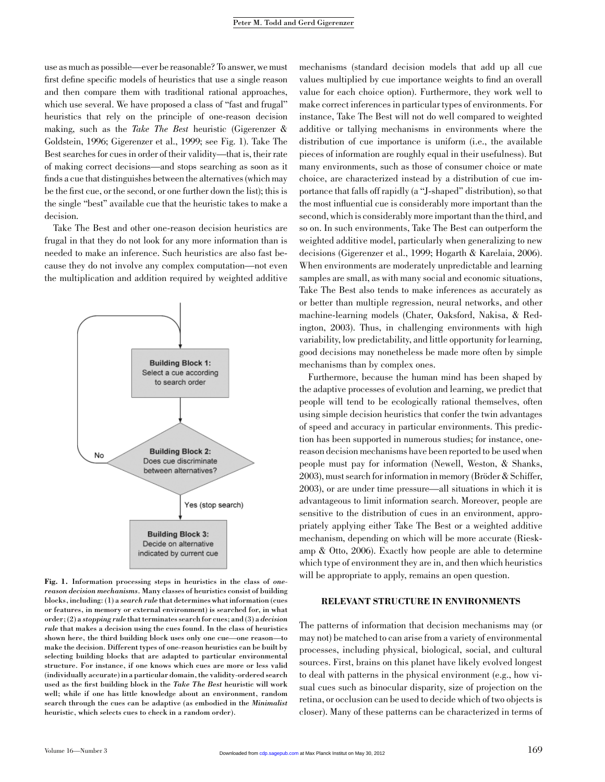use as much as possible—ever be reasonable? To answer, we must first define specific models of heuristics that use a single reason and then compare them with traditional rational approaches, which use several. We have proposed a class of "fast and frugal" heuristics that rely on the principle of one-reason decision making, such as the Take The Best heuristic (Gigerenzer & Goldstein, 1996; Gigerenzer et al., 1999; see Fig. 1). Take The Best searches for cues in order of their validity—that is, their rate of making correct decisions—and stops searching as soon as it finds a cue that distinguishes between the alternatives (which may be the first cue, or the second, or one further down the list); this is the single ''best'' available cue that the heuristic takes to make a decision.

Take The Best and other one-reason decision heuristics are frugal in that they do not look for any more information than is needed to make an inference. Such heuristics are also fast because they do not involve any complex computation—not even the multiplication and addition required by weighted additive



Fig. 1. Information processing steps in heuristics in the class of onereason decision mechanisms. Many classes of heuristics consist of building blocks, including: (1) a search rule that determines what information (cues or features, in memory or external environment) is searched for, in what order; (2) a stopping rule that terminates search for cues; and (3) a decision rule that makes a decision using the cues found. In the class of heuristics shown here, the third building block uses only one cue—one reason—to make the decision. Different types of one-reason heuristics can be built by selecting building blocks that are adapted to particular environmental structure. For instance, if one knows which cues are more or less valid (individually accurate) in a particular domain, the validity-ordered search used as the first building block in the Take The Best heuristic will work well; while if one has little knowledge about an environment, random search through the cues can be adaptive (as embodied in the Minimalist heuristic, which selects cues to check in a random order).

mechanisms (standard decision models that add up all cue values multiplied by cue importance weights to find an overall value for each choice option). Furthermore, they work well to make correct inferences in particular types of environments. For instance, Take The Best will not do well compared to weighted additive or tallying mechanisms in environments where the distribution of cue importance is uniform (i.e., the available pieces of information are roughly equal in their usefulness). But many environments, such as those of consumer choice or mate choice, are characterized instead by a distribution of cue importance that falls off rapidly (a ''J-shaped'' distribution), so that the most influential cue is considerably more important than the second, which is considerably more important than the third, and so on. In such environments, Take The Best can outperform the weighted additive model, particularly when generalizing to new decisions (Gigerenzer et al., 1999; Hogarth & Karelaia, 2006). When environments are moderately unpredictable and learning samples are small, as with many social and economic situations, Take The Best also tends to make inferences as accurately as or better than multiple regression, neural networks, and other machine-learning models (Chater, Oaksford, Nakisa, & Redington, 2003). Thus, in challenging environments with high variability, low predictability, and little opportunity for learning, good decisions may nonetheless be made more often by simple mechanisms than by complex ones.

Furthermore, because the human mind has been shaped by the adaptive processes of evolution and learning, we predict that people will tend to be ecologically rational themselves, often using simple decision heuristics that confer the twin advantages of speed and accuracy in particular environments. This prediction has been supported in numerous studies; for instance, onereason decision mechanisms have been reported to be used when people must pay for information (Newell, Weston, & Shanks, 2003), must search for information in memory (Bröder  $&$  Schiffer, 2003), or are under time pressure—all situations in which it is advantageous to limit information search. Moreover, people are sensitive to the distribution of cues in an environment, appropriately applying either Take The Best or a weighted additive mechanism, depending on which will be more accurate (Rieskamp & Otto, 2006). Exactly how people are able to determine which type of environment they are in, and then which heuristics will be appropriate to apply, remains an open question.

## RELEVANT STRUCTURE IN ENVIRONMENTS

The patterns of information that decision mechanisms may (or may not) be matched to can arise from a variety of environmental processes, including physical, biological, social, and cultural sources. First, brains on this planet have likely evolved longest to deal with patterns in the physical environment (e.g., how visual cues such as binocular disparity, size of projection on the retina, or occlusion can be used to decide which of two objects is closer). Many of these patterns can be characterized in terms of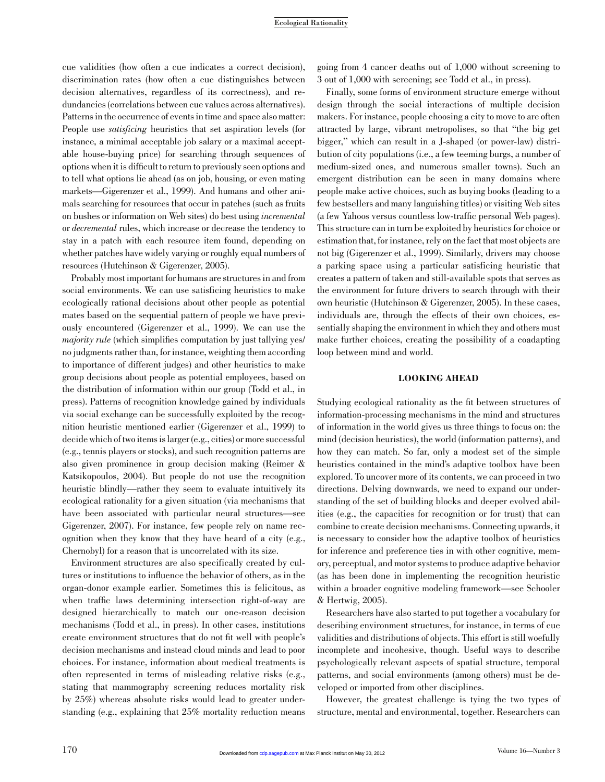cue validities (how often a cue indicates a correct decision), discrimination rates (how often a cue distinguishes between decision alternatives, regardless of its correctness), and redundancies (correlations between cue values across alternatives). Patterns in the occurrence of events in time and space also matter: People use satisficing heuristics that set aspiration levels (for instance, a minimal acceptable job salary or a maximal acceptable house-buying price) for searching through sequences of options when it is difficult to return to previously seen options and to tell what options lie ahead (as on job, housing, or even mating markets—Gigerenzer et al., 1999). And humans and other animals searching for resources that occur in patches (such as fruits on bushes or information on Web sites) do best using incremental or decremental rules, which increase or decrease the tendency to stay in a patch with each resource item found, depending on whether patches have widely varying or roughly equal numbers of resources (Hutchinson & Gigerenzer, 2005).

Probably most important for humans are structures in and from social environments. We can use satisficing heuristics to make ecologically rational decisions about other people as potential mates based on the sequential pattern of people we have previously encountered (Gigerenzer et al., 1999). We can use the majority rule (which simplifies computation by just tallying yes/ no judgments rather than, for instance, weighting them according to importance of different judges) and other heuristics to make group decisions about people as potential employees, based on the distribution of information within our group (Todd et al., in press). Patterns of recognition knowledge gained by individuals via social exchange can be successfully exploited by the recognition heuristic mentioned earlier (Gigerenzer et al., 1999) to decide which of two items is larger (e.g., cities) or more successful (e.g., tennis players or stocks), and such recognition patterns are also given prominence in group decision making (Reimer & Katsikopoulos, 2004). But people do not use the recognition heuristic blindly—rather they seem to evaluate intuitively its ecological rationality for a given situation (via mechanisms that have been associated with particular neural structures—see Gigerenzer, 2007). For instance, few people rely on name recognition when they know that they have heard of a city (e.g., Chernobyl) for a reason that is uncorrelated with its size.

Environment structures are also specifically created by cultures or institutions to influence the behavior of others, as in the organ-donor example earlier. Sometimes this is felicitous, as when traffic laws determining intersection right-of-way are designed hierarchically to match our one-reason decision mechanisms (Todd et al., in press). In other cases, institutions create environment structures that do not fit well with people's decision mechanisms and instead cloud minds and lead to poor choices. For instance, information about medical treatments is often represented in terms of misleading relative risks (e.g., stating that mammography screening reduces mortality risk by 25%) whereas absolute risks would lead to greater understanding (e.g., explaining that 25% mortality reduction means

going from 4 cancer deaths out of 1,000 without screening to 3 out of 1,000 with screening; see Todd et al., in press).

Finally, some forms of environment structure emerge without design through the social interactions of multiple decision makers. For instance, people choosing a city to move to are often attracted by large, vibrant metropolises, so that ''the big get bigger,'' which can result in a J-shaped (or power-law) distribution of city populations (i.e., a few teeming burgs, a number of medium-sized ones, and numerous smaller towns). Such an emergent distribution can be seen in many domains where people make active choices, such as buying books (leading to a few bestsellers and many languishing titles) or visiting Web sites (a few Yahoos versus countless low-traffic personal Web pages). This structure can in turn be exploited by heuristics for choice or estimation that, for instance, rely on the fact that most objects are not big (Gigerenzer et al., 1999). Similarly, drivers may choose a parking space using a particular satisficing heuristic that creates a pattern of taken and still-available spots that serves as the environment for future drivers to search through with their own heuristic (Hutchinson & Gigerenzer, 2005). In these cases, individuals are, through the effects of their own choices, essentially shaping the environment in which they and others must make further choices, creating the possibility of a coadapting loop between mind and world.

### LOOKING AHEAD

Studying ecological rationality as the fit between structures of information-processing mechanisms in the mind and structures of information in the world gives us three things to focus on: the mind (decision heuristics), the world (information patterns), and how they can match. So far, only a modest set of the simple heuristics contained in the mind's adaptive toolbox have been explored. To uncover more of its contents, we can proceed in two directions. Delving downwards, we need to expand our understanding of the set of building blocks and deeper evolved abilities (e.g., the capacities for recognition or for trust) that can combine to create decision mechanisms. Connecting upwards, it is necessary to consider how the adaptive toolbox of heuristics for inference and preference ties in with other cognitive, memory, perceptual, and motor systems to produce adaptive behavior (as has been done in implementing the recognition heuristic within a broader cognitive modeling framework—see Schooler & Hertwig, 2005).

Researchers have also started to put together a vocabulary for describing environment structures, for instance, in terms of cue validities and distributions of objects. This effort is still woefully incomplete and incohesive, though. Useful ways to describe psychologically relevant aspects of spatial structure, temporal patterns, and social environments (among others) must be developed or imported from other disciplines.

However, the greatest challenge is tying the two types of structure, mental and environmental, together. Researchers can